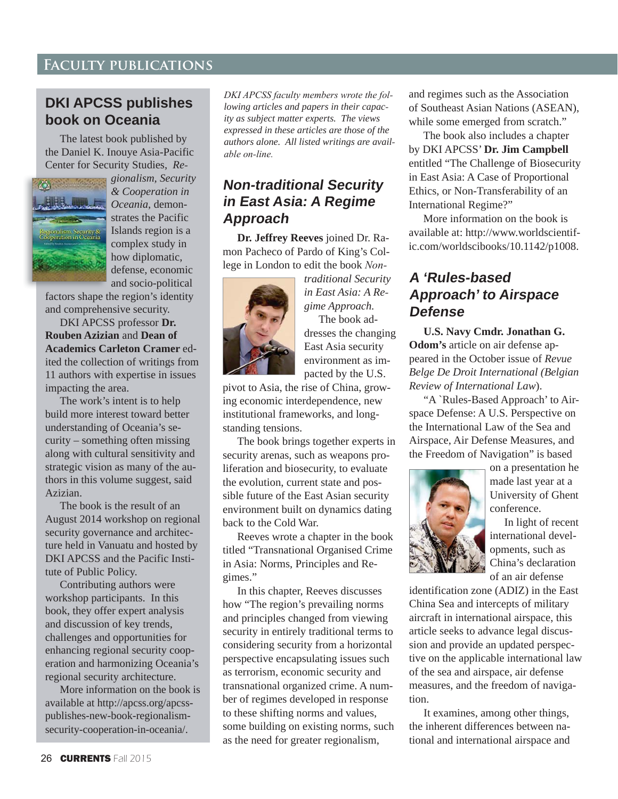### **Faculty publications**

#### **DKI APCSS publishes book on Oceania**

The latest book published by the Daniel K. Inouye Asia-Pacific Center for Security Studies, *Re*



*gionalism, Security & Cooperation in Oceania*, demonstrates the Pacific Islands region is a complex study in how diplomatic, defense, economic and socio-political

factors shape the region's identity and comprehensive security.

DKI APCSS professor **Dr. Rouben Azizian** and **Dean of Academics Carleton Cramer** edited the collection of writings from 11 authors with expertise in issues impacting the area.

The work's intent is to help build more interest toward better understanding of Oceania's security – something often missing along with cultural sensitivity and strategic vision as many of the authors in this volume suggest, said Azizian.

The book is the result of an August 2014 workshop on regional security governance and architecture held in Vanuatu and hosted by DKI APCSS and the Pacific Institute of Public Policy.

Contributing authors were workshop participants. In this book, they offer expert analysis and discussion of key trends, challenges and opportunities for enhancing regional security cooperation and harmonizing Oceania's regional security architecture.

More information on the book is available at http://apcss.org/apcsspublishes-new-book-regionalismsecurity-cooperation-in-oceania/.

*DKI APCSS faculty members wrote the following articles and papers in their capac ity as subject matter experts. The views expressed in these articles are those of the authors alone. All listed writings are avail able on-line.* 

#### **Non-traditional Security in East Asia: A Regime Approach**

**Dr. Jeffrey Reeves** joined Dr. Ramon Pacheco of Pardo of King's College in London to edit the book *Non*-



*traditional Security in East Asia: A Re gime Approach.* The book addresses the changing East Asia security environment as impacted by the U.S.

pivot to Asia, the rise of China, growing economic interdependence, new institutional frameworks, and longstanding tensions.

The book brings together experts in security arenas, such as weapons proliferation and biosecurity, to evaluate the evolution, current state and possible future of the East Asian security environment built on dynamics dating back to the Cold War.

Reeves wrote a chapter in the book titled "Transnational Organised Crime in Asia: Norms, Principles and Regimes."

In this chapter, Reeves discusses how "The region's prevailing norms and principles changed from viewing security in entirely traditional terms to considering security from a horizontal perspective encapsulating issues such as terrorism, economic security and transnational organized crime. A number of regimes developed in response to these shifting norms and values, some building on existing norms, such as the need for greater regionalism,

and regimes such as the Association of Southeast Asian Nations (ASEAN), while some emerged from scratch."

The book also includes a chapter by DKI APCSS' **Dr. Jim Campbell**  entitled "The Challenge of Biosecurity in East Asia: A Case of Proportional Ethics, or Non-Transferability of an International Regime?"

More information on the book is available at: http://www.worldscientific.com/worldscibooks/10.1142/p1008.

### **A 'Rules-based Approach' to Airspace Defense**

**U.S. Navy Cmdr. Jonathan G. Odom's** article on air defense appeared in the October issue of *Revue Belge De Droit International (Belgian Review of International Law*).

"A `Rules-Based Approach' to Airspace Defense: A U.S. Perspective on the International Law of the Sea and Airspace, Air Defense Measures, and the Freedom of Navigation" is based



on a presentation he made last year at a University of Ghent conference.

In light of recent international developments, such as China's declaration of an air defense

identification zone (ADIZ) in the East China Sea and intercepts of military aircraft in international airspace, this article seeks to advance legal discussion and provide an updated perspective on the applicable international law of the sea and airspace, air defense measures, and the freedom of navigation.

It examines, among other things, the inherent differences between national and international airspace and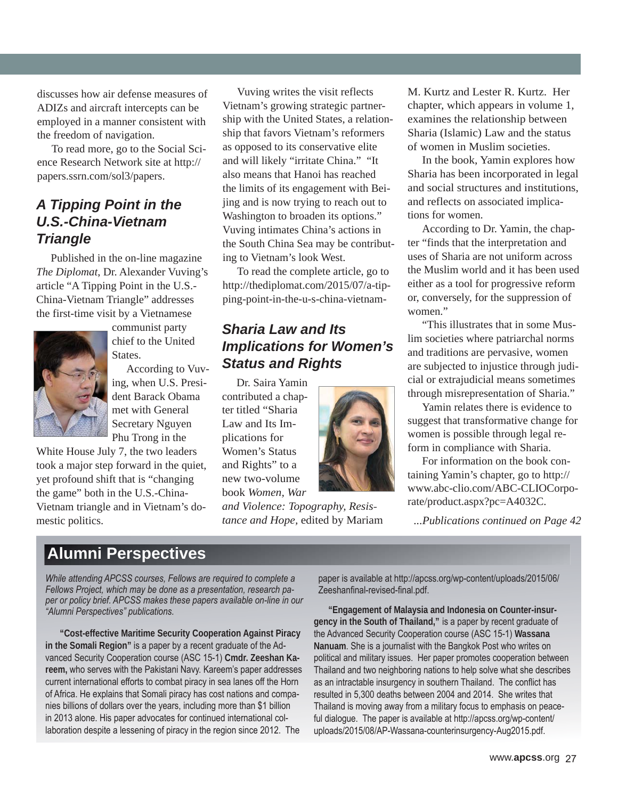discusses how air defense measures of ADIZs and aircraft intercepts can be employed in a manner consistent with the freedom of navigation.

To read more, go to the Social Science Research Network site at http:// papers.ssrn.com/sol3/papers.

#### *A Tipping Point in the U.S.-China-Vietnam Triangle*

Published in the on-line magazine *The Diplomat*, Dr. Alexander Vuving's article "A Tipping Point in the U.S.- China-Vietnam Triangle" addresses the first-time visit by a Vietnamese



communist party chief to the United States.

According to Vuving, when U.S. President Barack Obama met with General Secretary Nguyen Phu Trong in the

White House July 7, the two leaders took a major step forward in the quiet, yet profound shift that is "changing the game" both in the U.S.-China-Vietnam triangle and in Vietnam's domestic politics.

Vuving writes the visit reflects Vietnam's growing strategic partnership with the United States, a relationship that favors Vietnam's reformers as opposed to its conservative elite and will likely "irritate China." "It also means that Hanoi has reached the limits of its engagement with Beijing and is now trying to reach out to Washington to broaden its options." Vuving intimates China's actions in the South China Sea may be contributing to Vietnam's look West.

To read the complete article, go to http://thediplomat.com/2015/07/a-tipping-point-in-the-u-s-china-vietnam-

### *Sharia Law and Its Implications for Women's Status and Rights*

Dr. Saira Yamin contributed a chapter titled "Sharia Law and Its Implications for Women's Status and Rights" to a new two-volume book *Women, War* 

*and Violence: Topography, Resis tance and Hope,* edited by Mariam *...Publications continued on Page 42*

M. Kurtz and Lester R. Kurtz. Her chapter, which appears in volume 1, examines the relationship between Sharia (Islamic) Law and the status of women in Muslim societies.

In the book, Yamin explores how Sharia has been incorporated in legal and social structures and institutions, and reflects on associated implications for women.

According to Dr. Yamin, the chapter "finds that the interpretation and uses of Sharia are not uniform across the Muslim world and it has been used either as a tool for progressive reform or, conversely, for the suppression of women."

"This illustrates that in some Muslim societies where patriarchal norms and traditions are pervasive, women are subjected to injustice through judicial or extrajudicial means sometimes through misrepresentation of Sharia."

Yamin relates there is evidence to suggest that transformative change for women is possible through legal reform in compliance with Sharia.

For information on the book containing Yamin's chapter, go to http:// www.abc-clio.com/ABC-CLIOCorporate/product.aspx?pc=A4032C.

## **Alumni Perspectives**

*While attending APCSS courses, Fellows are required to complete a* Fellows Project, which may be done as a presentation, research paper or policy brief. APCSS makes these papers available on-line in our *"Alumni Perspectives" publications.* 

**"Cost-effective Maritime Security Cooperation Against Piracy**  in the Somali Region" is a paper by a recent graduate of the Advanced Security Cooperation course (ASC 15-1) Cmdr. Zeeshan Kareem, who serves with the Pakistani Navy. Kareem's paper addresses current international efforts to combat piracy in sea lanes off the Horn of Africa. He explains that Somali piracy has cost nations and companies billions of dollars over the years, including more than \$1 billion in 2013 alone. His paper advocates for continued international collaboration despite a lessening of piracy in the region since 2012. The

paper is available at http://apcss.org/wp-content/uploads/2015/06/ Zeeshanfinal-revised-final.pdf.

**"Engagement of Malaysia and Indonesia on Counter-insur**gency in the South of Thailand," is a paper by recent graduate of the Advanced Security Cooperation course (ASC 15-1) Wassana Nanuam. She is a journalist with the Bangkok Post who writes on political and military issues. Her paper promotes cooperation between Thailand and two neighboring nations to help solve what she describes as an intractable insurgency in southern Thailand. The conflict has resulted in 5,300 deaths between 2004 and 2014. She writes that Thailand is moving away from a military focus to emphasis on peaceful dialoque. The paper is available at http://apcss.org/wp-content/ uploads/2015/08/AP-Wassana-counterinsurgency-Aug2015.pdf.